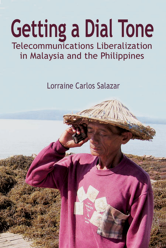## **Getting a Dial Tone Telecommunications Liberalization** in Malaysia and the Philippines

Lorraine Carlos Salazar